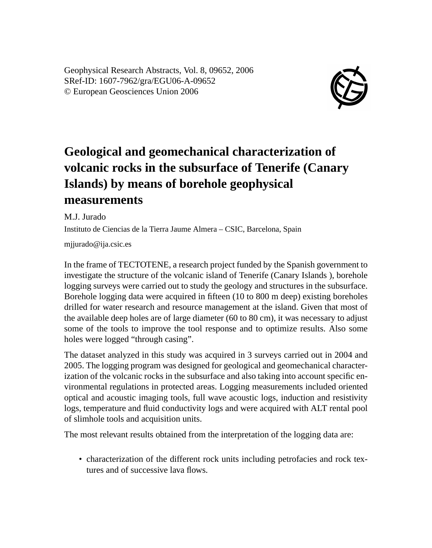Geophysical Research Abstracts, Vol. 8, 09652, 2006 SRef-ID: 1607-7962/gra/EGU06-A-09652 © European Geosciences Union 2006



## **Geological and geomechanical characterization of volcanic rocks in the subsurface of Tenerife (Canary Islands) by means of borehole geophysical measurements**

M.J. Jurado

Instituto de Ciencias de la Tierra Jaume Almera – CSIC, Barcelona, Spain

mjjurado@ija.csic.es

In the frame of TECTOTENE, a research project funded by the Spanish government to investigate the structure of the volcanic island of Tenerife (Canary Islands ), borehole logging surveys were carried out to study the geology and structures in the subsurface. Borehole logging data were acquired in fifteen (10 to 800 m deep) existing boreholes drilled for water research and resource management at the island. Given that most of the available deep holes are of large diameter (60 to 80 cm), it was necessary to adjust some of the tools to improve the tool response and to optimize results. Also some holes were logged "through casing".

The dataset analyzed in this study was acquired in 3 surveys carried out in 2004 and 2005. The logging program was designed for geological and geomechanical characterization of the volcanic rocks in the subsurface and also taking into account specific environmental regulations in protected areas. Logging measurements included oriented optical and acoustic imaging tools, full wave acoustic logs, induction and resistivity logs, temperature and fluid conductivity logs and were acquired with ALT rental pool of slimhole tools and acquisition units.

The most relevant results obtained from the interpretation of the logging data are:

• characterization of the different rock units including petrofacies and rock textures and of successive lava flows.